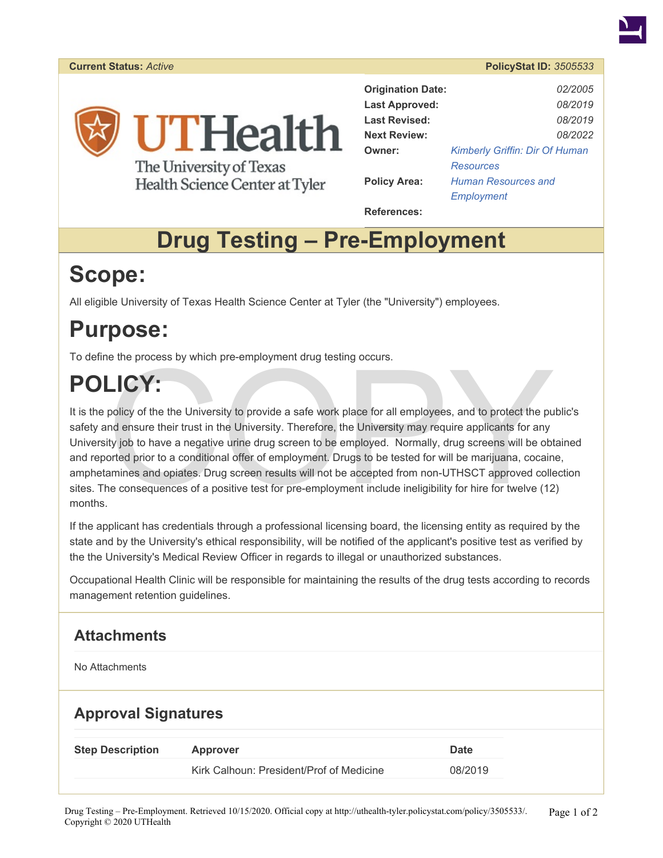

Health Science Center at Tyler

| <b>Origination Date:</b> | <i>02/2005</i>                        |
|--------------------------|---------------------------------------|
| <b>Last Approved:</b>    | 08/2019                               |
| <b>Last Revised:</b>     | 08/2019                               |
| <b>Next Review:</b>      | 08/2022                               |
| Owner:                   | <b>Kimberly Griffin: Dir Of Human</b> |
|                          | <b>Resources</b>                      |
| <b>Policy Area:</b>      | <b>Human Resources and</b>            |
|                          | Employment                            |

**References:** 

# **Drug Testing – Pre-Employment**

# **Scope:**

All eligible University of Texas Health Science Center at Tyler (the "University") employees.

## **Purpose:**

To define the process by which pre-employment drug testing occurs.

# **POLICY:**

e the process by which pre-employment arug testing occurs.<br>
policy of the the University to provide a safe work place for all employees, and to protect the pu<br>
and ensure their trust in the University. Therefore, the Unive It is the policy of the the University to provide a safe work place for all employees, and to protect the public's safety and ensure their trust in the University. Therefore, the University may require applicants for any University job to have a negative urine drug screen to be employed. Normally, drug screens will be obtained and reported prior to a conditional offer of employment. Drugs to be tested for will be marijuana, cocaine, amphetamines and opiates. Drug screen results will not be accepted from non-UTHSCT approved collection sites. The consequences of a positive test for pre-employment include ineligibility for hire for twelve (12) months.

If the applicant has credentials through a professional licensing board, the licensing entity as required by the state and by the University's ethical responsibility, will be notified of the applicant's positive test as verified by the the University's Medical Review Officer in regards to illegal or unauthorized substances.

Occupational Health Clinic will be responsible for maintaining the results of the drug tests according to records management retention guidelines.

### **Attachments**

No Attachments

## **Approval Signatures**

| Kirk Calhoun: President/Prof of Medicine<br>08/2019 | <b>Step Description</b> | Approver | Date |
|-----------------------------------------------------|-------------------------|----------|------|
|                                                     |                         |          |      |